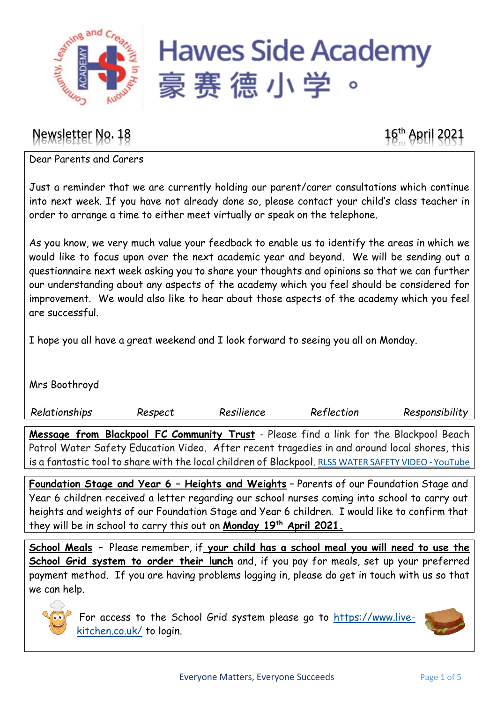

## Newsletter No. 18 16th April 2021

Dear Parents and Carers

Just a reminder that we are currently holding our parent/carer consultations which continue into next week. If you have not already done so, please contact your child's class teacher in order to arrange a time to either meet virtually or speak on the telephone.

As you know, we very much value your feedback to enable us to identify the areas in which we would like to focus upon over the next academic year and beyond.   We will be sending out a questionnaire next week asking you to share your thoughts and opinions so that we can further our understanding about any aspects of the academy which you feel should be considered for improvement. We would also like to hear about those aspects of the academy which you feel are successful.

I hope you all have a great weekend and I look forward to seeing you all on Monday.

Mrs Boothroyd

*Relationships Respect Resilience Reflection Responsibility* **Message from Blackpool FC Community Trust** - Please find a link for the Blackpool Beach

Patrol Water Safety Education Video. After recent tragedies in and around local shores, this is a fantastic tool to share with the local children of Blackpool. RLSS WATER SAFETY VIDEO - [YouTube](https://www.youtube.com/watch?v=_EfBsKzfLcM)

**Foundation Stage and Year 6 – Heights and Weights** – Parents of our Foundation Stage and Year 6 children received a letter regarding our school nurses coming into school to carry out heights and weights of our Foundation Stage and Year 6 children. I would like to confirm that they will be in school to carry this out on **Monday 19th April 2021.**

**School Meals** – Please remember, if **your child has a school meal you will need to use the School Grid system to order their lunch** and, if you pay for meals, set up your preferred payment method. If you are having problems logging in, please do get in touch with us so that we can help.



For access to the School Grid system please go to [https://www.live](https://www.live-kitchen.co.uk/)[kitchen.co.uk/](https://www.live-kitchen.co.uk/) to login.

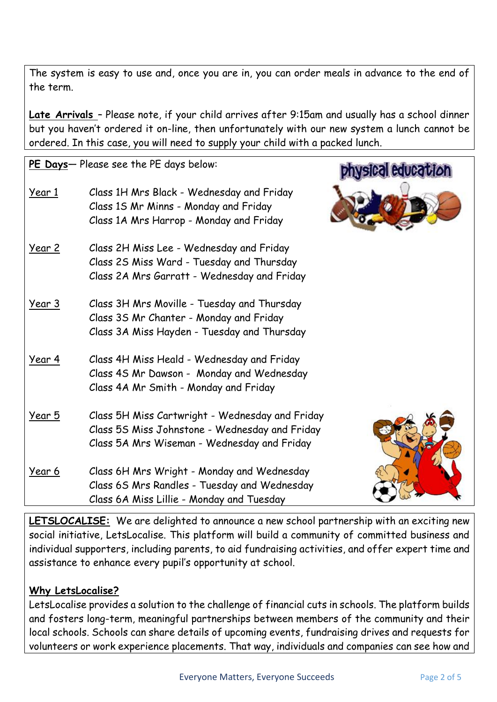The system is easy to use and, once you are in, you can order meals in advance to the end of the term.

**Late Arrivals** – Please note, if your child arrives after 9:15am and usually has a school dinner but you haven't ordered it on-line, then unfortunately with our new system a lunch cannot be ordered. In this case, you will need to supply your child with a packed lunch.

|               | PE Days- Please see the PE days below:                                                                                                           | <b>I</b> education |
|---------------|--------------------------------------------------------------------------------------------------------------------------------------------------|--------------------|
| <u>Year 1</u> | Class 1H Mrs Black - Wednesday and Friday<br>Class 15 Mr Minns - Monday and Friday<br>Class 1A Mrs Harrop - Monday and Friday                    |                    |
| <u>Year 2</u> | Class 2H Miss Lee - Wednesday and Friday<br>Class 2S Miss Ward - Tuesday and Thursday<br>Class 2A Mrs Garratt - Wednesday and Friday             |                    |
| <u>Year 3</u> | Class 3H Mrs Moville - Tuesday and Thursday<br>Class 3S Mr Chanter - Monday and Friday<br>Class 3A Miss Hayden - Tuesday and Thursday            |                    |
| <u>Year 4</u> | Class 4H Miss Heald - Wednesday and Friday<br>Class 4S Mr Dawson - Monday and Wednesday<br>Class 4A Mr Smith - Monday and Friday                 |                    |
| <u>Year 5</u> | Class 5H Miss Cartwright - Wednesday and Friday<br>Class 5S Miss Johnstone - Wednesday and Friday<br>Class 5A Mrs Wiseman - Wednesday and Friday |                    |
| <u>Year 6</u> | Class 6H Mrs Wright - Monday and Wednesday<br>Class 6S Mrs Randles - Tuesday and Wednesday<br>Class 6A Miss Lillie - Monday and Tuesday          |                    |

**LETSLOCALISE:** We are delighted to announce a new school partnership with an exciting new social initiative, LetsLocalise. This platform will build a community of committed business and individual supporters, including parents, to aid fundraising activities, and offer expert time and assistance to enhance every pupil's opportunity at school.

## **Why LetsLocalise?**

LetsLocalise provides a solution to the challenge of financial cuts in schools. The platform builds and fosters long-term, meaningful partnerships between members of the community and their local schools. Schools can share details of upcoming events, fundraising drives and requests for volunteers or work experience placements. That way, individuals and companies can see how and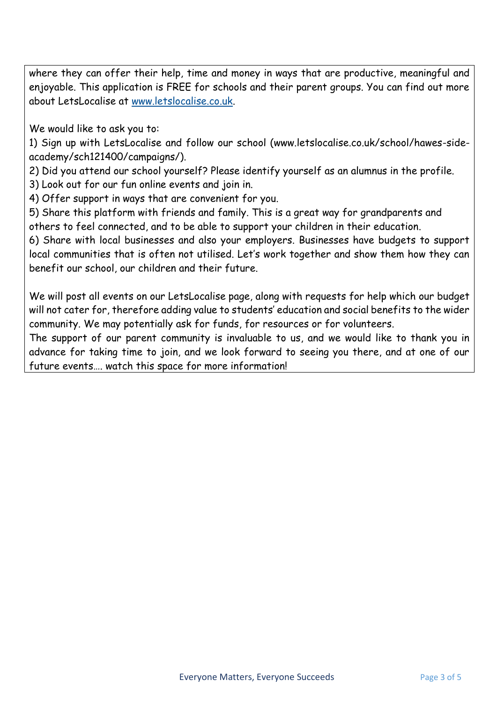where they can offer their help, time and money in ways that are productive, meaningful and enjoyable. This application is FREE for schools and their parent groups. You can find out more about LetsLocalise at [www.letslocalise.co.uk.](http://www.letslocalise.co.uk/)

We would like to ask you to:

1) Sign up with LetsLocalise and follow our school (www.letslocalise.co.uk/school/hawes-sideacademy/sch121400/campaigns/).

2) Did you attend our school yourself? Please identify yourself as an alumnus in the profile.

3) Look out for our fun online events and join in.

4) Offer support in ways that are convenient for you.

5) Share this platform with friends and family. This is a great way for grandparents and others to feel connected, and to be able to support your children in their education.

6) Share with local businesses and also your employers. Businesses have budgets to support local communities that is often not utilised. Let's work together and show them how they can benefit our school, our children and their future.

We will post all events on our LetsLocalise page, along with requests for help which our budget will not cater for, therefore adding value to students' education and social benefits to the wider community. We may potentially ask for funds, for resources or for volunteers.

The support of our parent community is invaluable to us, and we would like to thank you in advance for taking time to join, and we look forward to seeing you there, and at one of our future events…. watch this space for more information!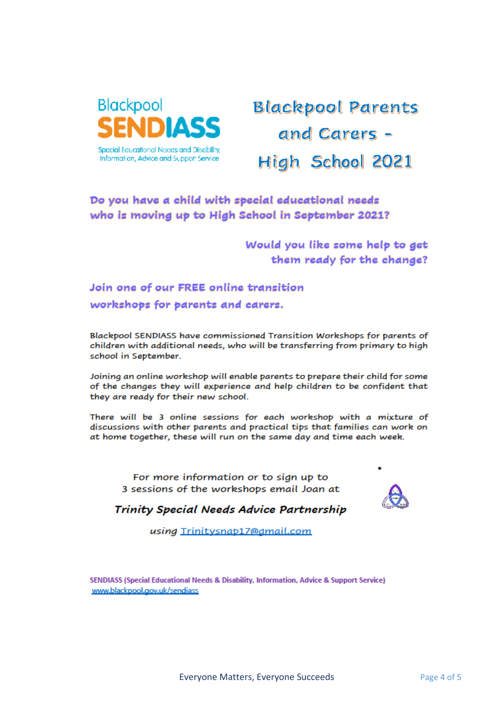

## **Blackpool Parents** and Carers -High School 2021

## Do you have a child with special educational needs who is moving up to High School in September 2021?

Would you like some help to get them ready for the change?

Join one of our FREE online transition workshops for parents and carers.

Blackpool SENDIASS have commissioned Transition Workshops for parents of children with additional needs, who will be transferring from primary to high school in September.

Joining an online workshop will enable parents to prepare their child for some of the changes they will experience and help children to be confident that they are ready for their new school.

There will be 3 online sessions for each workshop with a mixture of discussions with other parents and practical tips that families can work on at home together, these will run on the same day and time each week.

For more information or to sign up to 3 sessions of the workshops email Joan at



Trinity Special Needs Advice Partnership

using Trinitysnab17@dmail.com

SENDIASS (Special Educational Needs & Disability, Information, Advice & Support Service) www.blackpool.gov.uk/sendiass